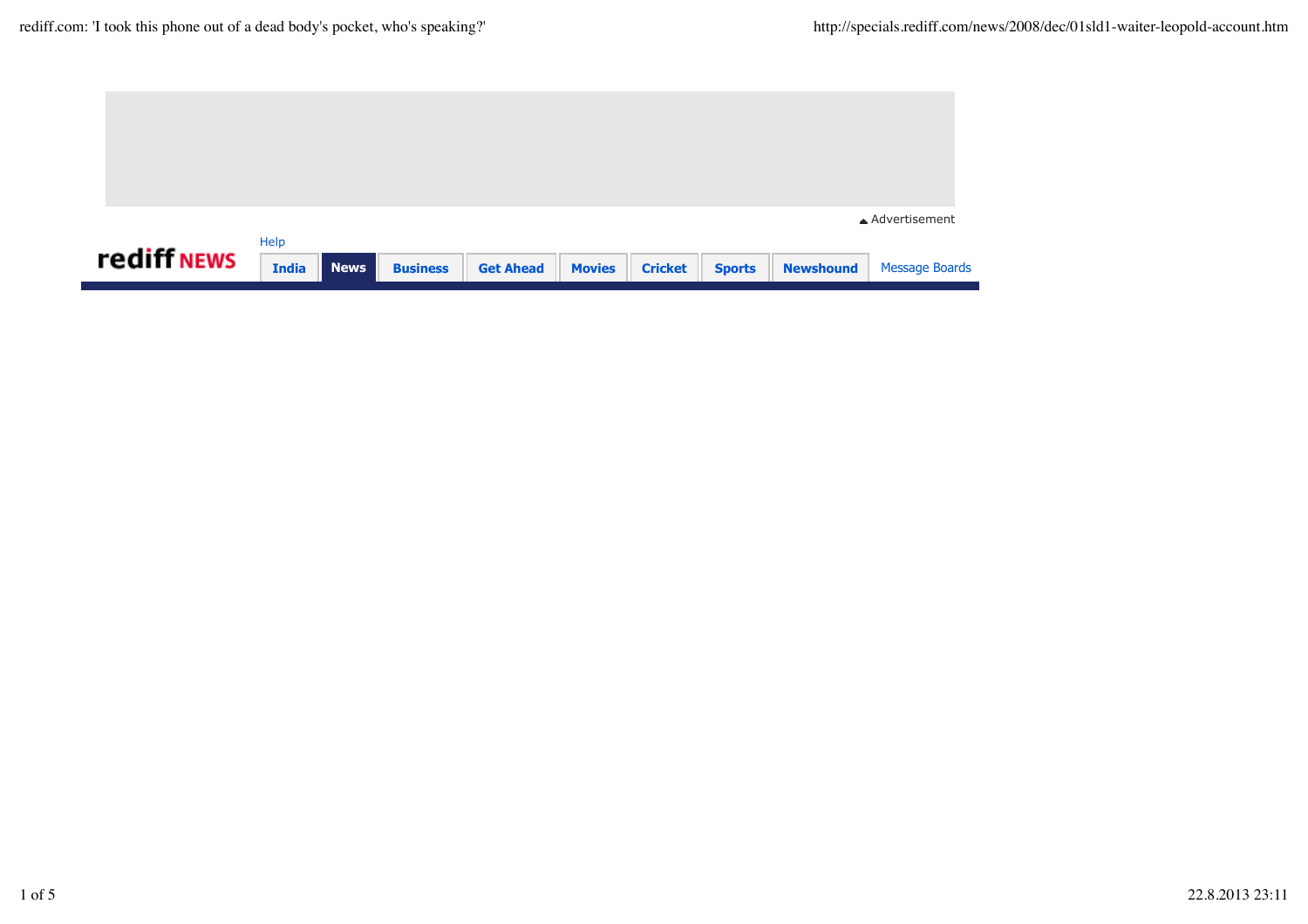|             |              |             |                 |                  |               |                |               |                  | ▲ Advertisement       |
|-------------|--------------|-------------|-----------------|------------------|---------------|----------------|---------------|------------------|-----------------------|
|             | Help         |             |                 |                  |               |                |               |                  |                       |
| rediff NEWS | <b>India</b> | <b>News</b> | <b>Business</b> | <b>Get Ahead</b> | <b>Movies</b> | <b>Cricket</b> | <b>Sports</b> | <b>Newshound</b> | <b>Message Boards</b> |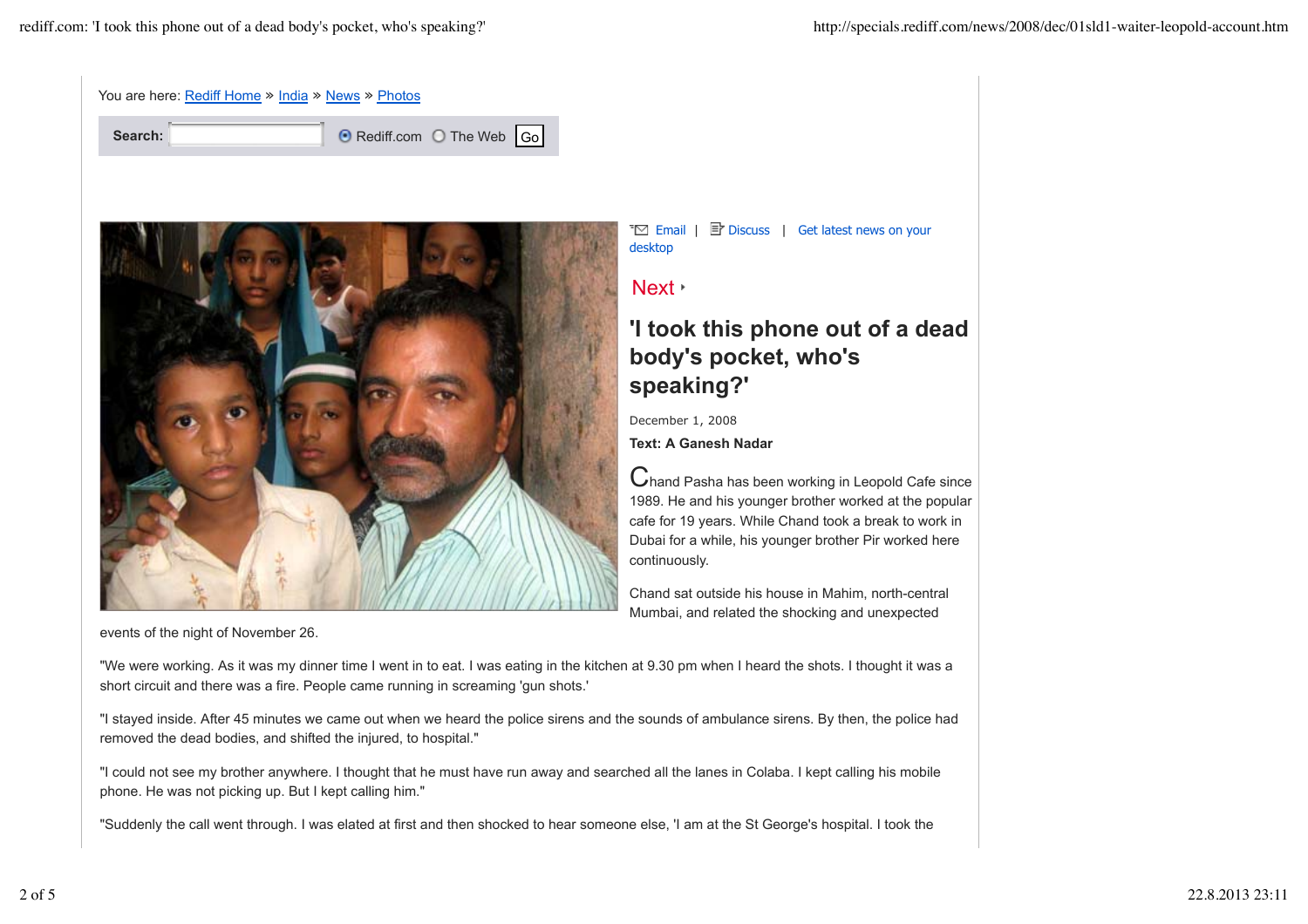|         | You are here: Rediff Home » India » News » Photos |                           |  |
|---------|---------------------------------------------------|---------------------------|--|
| Search: |                                                   | ⊙ Rediff.com ○ The Web Go |  |



events of the night of November 26.

 $\overline{\mathbb{F}}$  Email |  $\overline{\mathbb{F}}$  Discuss | Get latest news on your desktop

Next +

## **'I took this phone out of a dead body's pocket, who's speaking?'**

December 1, 2008

**Text: A Ganesh Nadar**

Chand Pasha has been working in Leopold Cafe since 1989. He and his younger brother worked at the popular cafe for 19 years. While Chand took a break to work in Dubai for a while, his younger brother Pir worked here continuously.

Chand sat outside his house in Mahim, north-central Mumbai, and related the shocking and unexpected

"We were working. As it was my dinner time I went in to eat. I was eating in the kitchen at 9.30 pm when I heard the shots. I thought it was a short circuit and there was a fire. People came running in screaming 'gun shots.'

"I stayed inside. After 45 minutes we came out when we heard the police sirens and the sounds of ambulance sirens. By then, the police had removed the dead bodies, and shifted the injured, to hospital."

"I could not see my brother anywhere. I thought that he must have run away and searched all the lanes in Colaba. I kept calling his mobile phone. He was not picking up. But I kept calling him."

"Suddenly the call went through. I was elated at first and then shocked to hear someone else, 'I am at the St George's hospital. I took the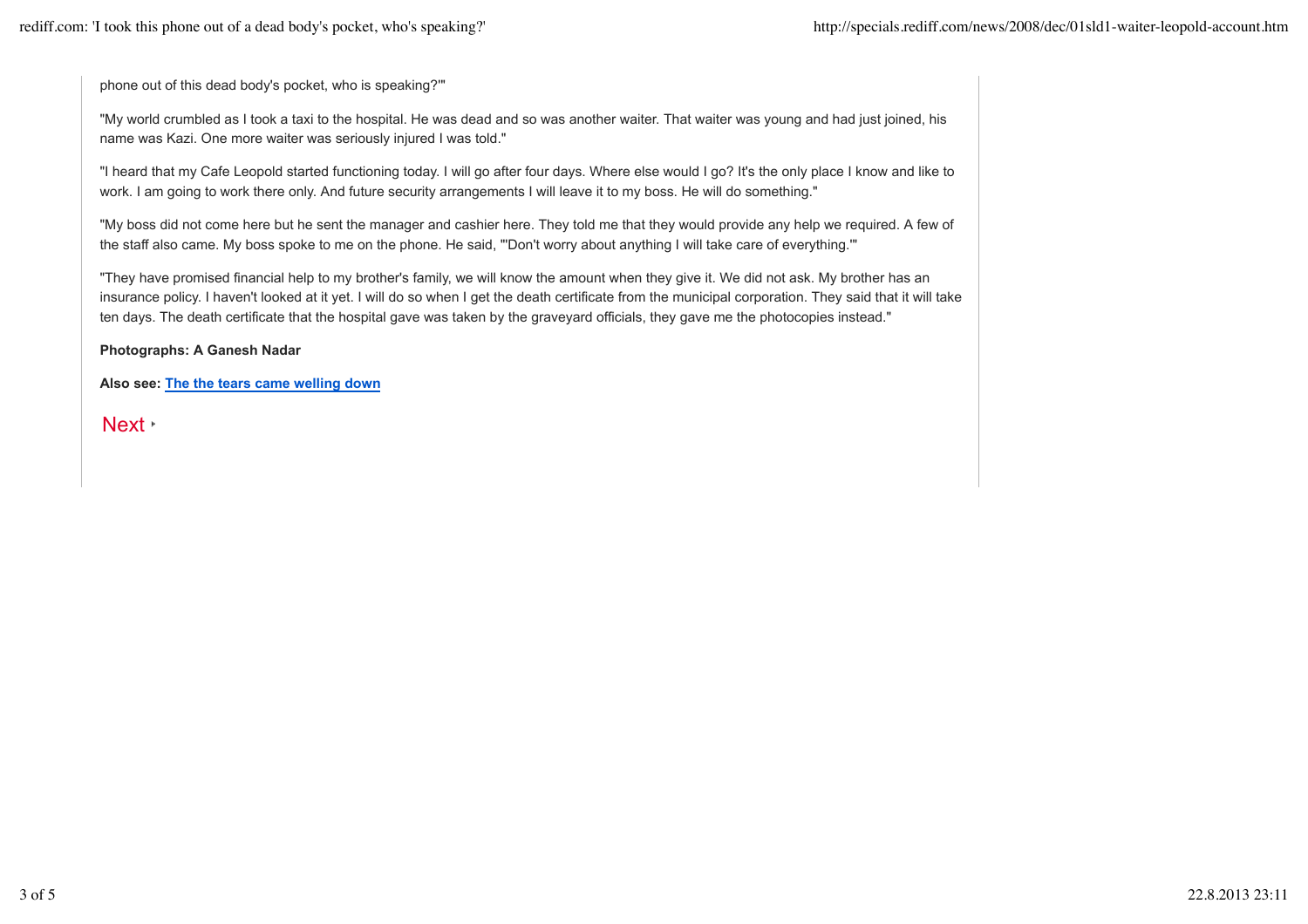phone out of this dead body's pocket, who is speaking?'"

"My world crumbled as I took a taxi to the hospital. He was dead and so was another waiter. That waiter was young and had just joined, his name was Kazi. One more waiter was seriously injured I was told."

"I heard that my Cafe Leopold started functioning today. I will go after four days. Where else would I go? It's the only place I know and like to work. I am going to work there only. And future security arrangements I will leave it to my boss. He will do something."

"My boss did not come here but he sent the manager and cashier here. They told me that they would provide any help we required. A few of the staff also came. My boss spoke to me on the phone. He said, "'Don't worry about anything I will take care of everything.'"

"They have promised financial help to my brother's family, we will know the amount when they give it. We did not ask. My brother has an insurance policy. I haven't looked at it yet. I will do so when I get the death certificate from the municipal corporation. They said that it will take ten days. The death certificate that the hospital gave was taken by the graveyard officials, they gave me the photocopies instead."

**Photographs: A Ganesh Nadar**

**Also see: The the tears came welling down**

Next **Next**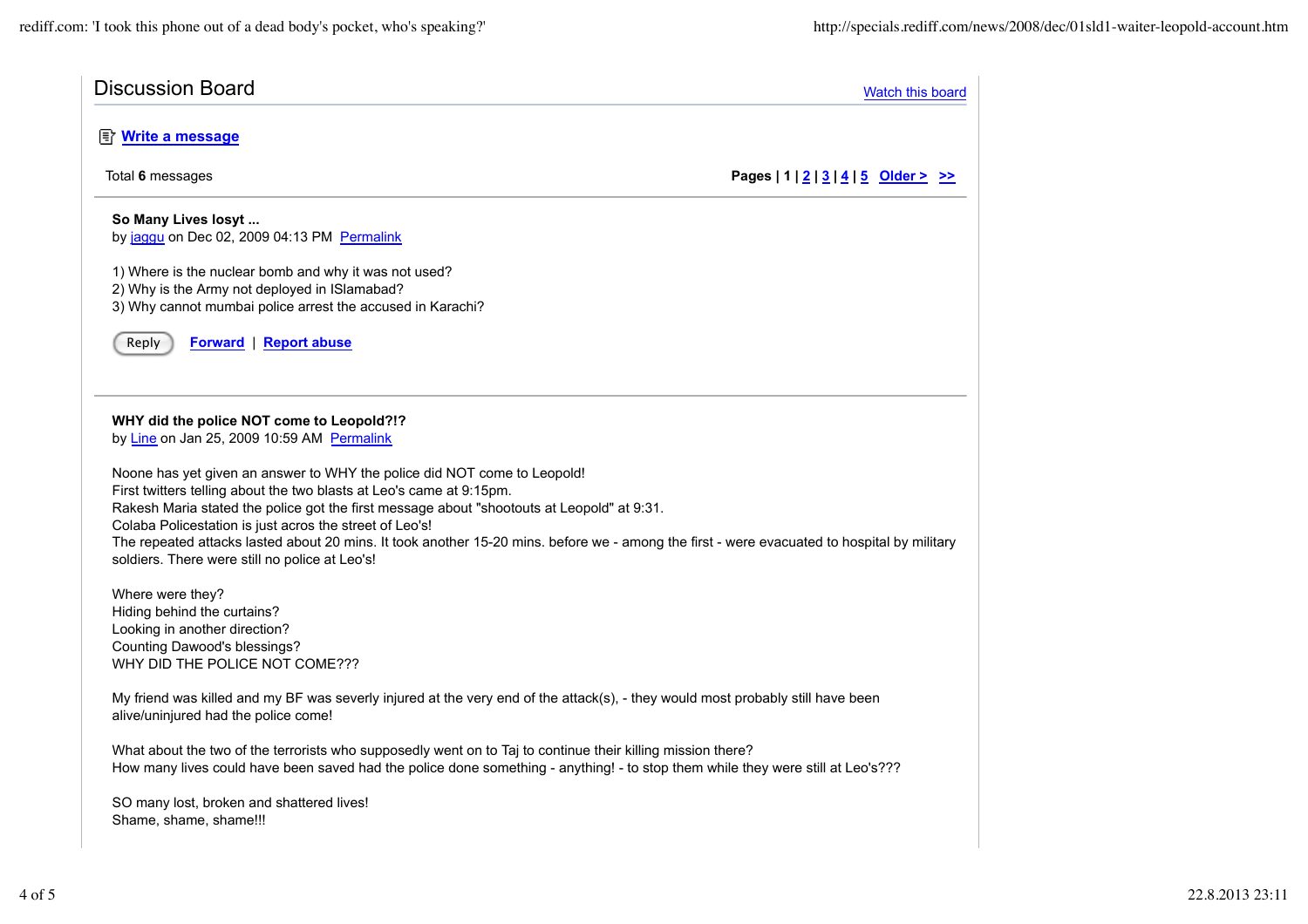| <b>Discussion Board</b>                                                                                                                                                                                                                                                                                   |                                                    | <b>Watch this board</b> |  |
|-----------------------------------------------------------------------------------------------------------------------------------------------------------------------------------------------------------------------------------------------------------------------------------------------------------|----------------------------------------------------|-------------------------|--|
| http://write.almessage                                                                                                                                                                                                                                                                                    |                                                    |                         |  |
| Total 6 messages                                                                                                                                                                                                                                                                                          | Pages   $1 \mid 2 \mid 3 \mid 4 \mid 5$ Older > >> |                         |  |
| So Many Lives losyt<br>by jaggu on Dec 02, 2009 04:13 PM Permalink                                                                                                                                                                                                                                        |                                                    |                         |  |
| 1) Where is the nuclear bomb and why it was not used?<br>2) Why is the Army not deployed in ISlamabad?<br>3) Why cannot mumbai police arrest the accused in Karachi?                                                                                                                                      |                                                    |                         |  |
| Reply<br><b>Forward</b>   Report abuse                                                                                                                                                                                                                                                                    |                                                    |                         |  |
| WHY did the police NOT come to Leopold?!?<br>by Line on Jan 25, 2009 10:59 AM Permalink                                                                                                                                                                                                                   |                                                    |                         |  |
| Noone has yet given an answer to WHY the police did NOT come to Leopold!<br>First twitters telling about the two blasts at Leo's came at 9:15pm.<br>Rakesh Maria stated the police got the first message about "shootouts at Leopold" at 9:31.<br>Colaba Policestation is just acros the street of Leo's! |                                                    |                         |  |
| The repeated attacks lasted about 20 mins. It took another 15-20 mins. before we - among the first - were evacuated to hospital by military<br>soldiers. There were still no police at Leo's!                                                                                                             |                                                    |                         |  |
| Where were they?<br>Hiding behind the curtains?<br>Looking in another direction?<br>Counting Dawood's blessings?<br>WHY DID THE POLICE NOT COME???                                                                                                                                                        |                                                    |                         |  |
| My friend was killed and my BF was severly injured at the very end of the attack(s), - they would most probably still have been<br>alive/uninjured had the police come!                                                                                                                                   |                                                    |                         |  |
| What about the two of the terrorists who supposedly went on to Taj to continue their killing mission there?<br>How many lives could have been saved had the police done something - anything! - to stop them while they were still at Leo's???                                                            |                                                    |                         |  |
| SO many lost, broken and shattered lives!<br>Shame, shame, shame!!!                                                                                                                                                                                                                                       |                                                    |                         |  |